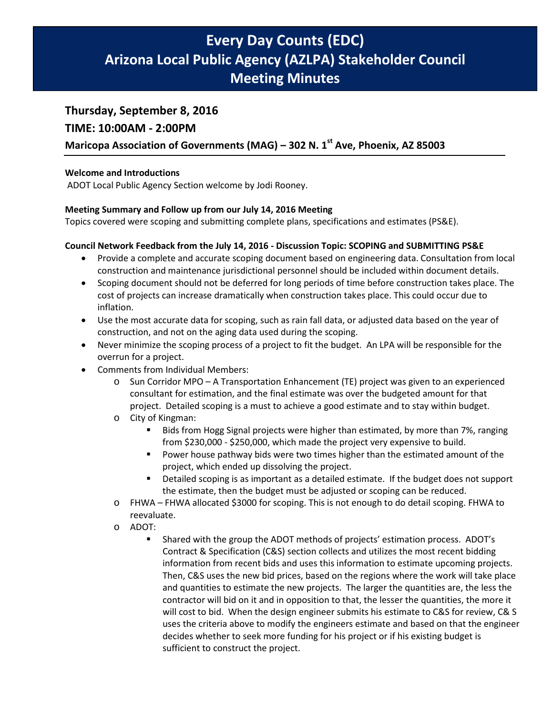# **Every Day Counts (EDC) Arizona Local Public Agency (AZLPA) Stakeholder Council Meeting Minutes**

# **Thursday, September 8, 2016**

# **TIME: 10:00AM - 2:00PM**

# **Maricopa Association of Governments (MAG) – 302 N. 1st Ave, Phoenix, AZ 85003**

# **Welcome and Introductions**

ADOT Local Public Agency Section welcome by Jodi Rooney.

# **Meeting Summary and Follow up from our July 14, 2016 Meeting**

Topics covered were scoping and submitting complete plans, specifications and estimates (PS&E).

# **Council Network Feedback from the July 14, 2016 - Discussion Topic: SCOPING and SUBMITTING PS&E**

- Provide a complete and accurate scoping document based on engineering data. Consultation from local construction and maintenance jurisdictional personnel should be included within document details.
- Scoping document should not be deferred for long periods of time before construction takes place. The cost of projects can increase dramatically when construction takes place. This could occur due to inflation.
- Use the most accurate data for scoping, such as rain fall data, or adjusted data based on the year of construction, and not on the aging data used during the scoping.
- Never minimize the scoping process of a project to fit the budget. An LPA will be responsible for the overrun for a project.
- Comments from Individual Members:
	- o Sun Corridor MPO A Transportation Enhancement (TE) project was given to an experienced consultant for estimation, and the final estimate was over the budgeted amount for that project. Detailed scoping is a must to achieve a good estimate and to stay within budget.
	- o City of Kingman:
		- **Bids from Hogg Signal projects were higher than estimated, by more than 7%, ranging** from \$230,000 - \$250,000, which made the project very expensive to build.
		- Power house pathway bids were two times higher than the estimated amount of the project, which ended up dissolving the project.
		- Detailed scoping is as important as a detailed estimate. If the budget does not support the estimate, then the budget must be adjusted or scoping can be reduced.
	- o FHWA FHWA allocated \$3000 for scoping. This is not enough to do detail scoping. FHWA to reevaluate.
	- o ADOT:
		- Shared with the group the ADOT methods of projects' estimation process. ADOT's Contract & Specification (C&S) section collects and utilizes the most recent bidding information from recent bids and uses this information to estimate upcoming projects. Then, C&S uses the new bid prices, based on the regions where the work will take place and quantities to estimate the new projects. The larger the quantities are, the less the contractor will bid on it and in opposition to that, the lesser the quantities, the more it will cost to bid. When the design engineer submits his estimate to C&S for review, C& S uses the criteria above to modify the engineers estimate and based on that the engineer decides whether to seek more funding for his project or if his existing budget is sufficient to construct the project.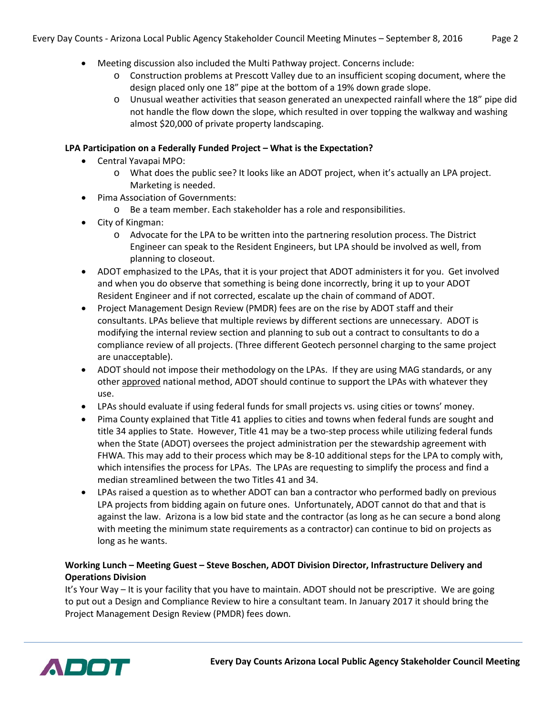- Meeting discussion also included the Multi Pathway project. Concerns include:
	- o Construction problems at Prescott Valley due to an insufficient scoping document, where the design placed only one 18" pipe at the bottom of a 19% down grade slope.
	- o Unusual weather activities that season generated an unexpected rainfall where the 18" pipe did not handle the flow down the slope, which resulted in over topping the walkway and washing almost \$20,000 of private property landscaping.

# **LPA Participation on a Federally Funded Project – What is the Expectation?**

- Central Yavapai MPO:
	- o What does the public see? It looks like an ADOT project, when it's actually an LPA project. Marketing is needed.
- Pima Association of Governments:
	- o Be a team member. Each stakeholder has a role and responsibilities.
- City of Kingman:
	- o Advocate for the LPA to be written into the partnering resolution process. The District Engineer can speak to the Resident Engineers, but LPA should be involved as well, from planning to closeout.
- ADOT emphasized to the LPAs, that it is your project that ADOT administers it for you. Get involved and when you do observe that something is being done incorrectly, bring it up to your ADOT Resident Engineer and if not corrected, escalate up the chain of command of ADOT.
- Project Management Design Review (PMDR) fees are on the rise by ADOT staff and their consultants. LPAs believe that multiple reviews by different sections are unnecessary. ADOT is modifying the internal review section and planning to sub out a contract to consultants to do a compliance review of all projects. (Three different Geotech personnel charging to the same project are unacceptable).
- ADOT should not impose their methodology on the LPAs. If they are using MAG standards, or any other approved national method, ADOT should continue to support the LPAs with whatever they use.
- LPAs should evaluate if using federal funds for small projects vs. using cities or towns' money.
- Pima County explained that Title 41 applies to cities and towns when federal funds are sought and title 34 applies to State. However, Title 41 may be a two-step process while utilizing federal funds when the State (ADOT) oversees the project administration per the stewardship agreement with FHWA. This may add to their process which may be 8-10 additional steps for the LPA to comply with, which intensifies the process for LPAs. The LPAs are requesting to simplify the process and find a median streamlined between the two Titles 41 and 34.
- LPAs raised a question as to whether ADOT can ban a contractor who performed badly on previous LPA projects from bidding again on future ones. Unfortunately, ADOT cannot do that and that is against the law. Arizona is a low bid state and the contractor (as long as he can secure a bond along with meeting the minimum state requirements as a contractor) can continue to bid on projects as long as he wants.

# **Working Lunch – Meeting Guest – Steve Boschen, ADOT Division Director, Infrastructure Delivery and Operations Division**

It's Your Way – It is your facility that you have to maintain. ADOT should not be prescriptive. We are going to put out a Design and Compliance Review to hire a consultant team. In January 2017 it should bring the Project Management Design Review (PMDR) fees down.

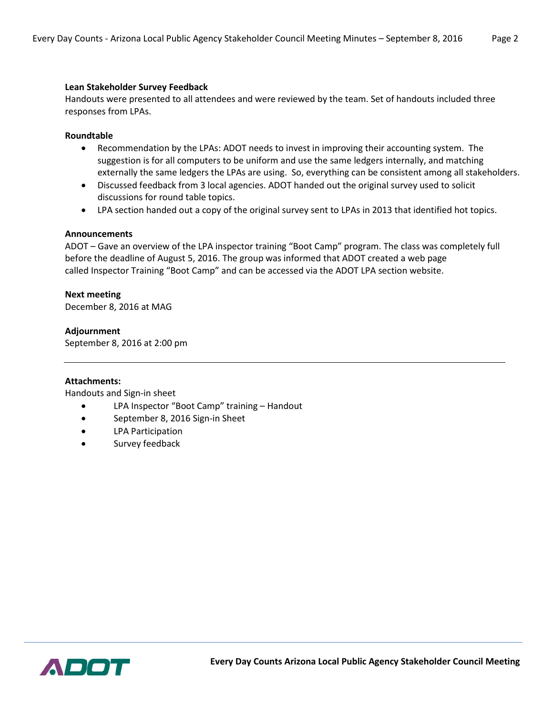## **Lean Stakeholder Survey Feedback**

Handouts were presented to all attendees and were reviewed by the team. Set of handouts included three responses from LPAs.

## **Roundtable**

- Recommendation by the LPAs: ADOT needs to invest in improving their accounting system. The suggestion is for all computers to be uniform and use the same ledgers internally, and matching externally the same ledgers the LPAs are using. So, everything can be consistent among all stakeholders.
- Discussed feedback from 3 local agencies. ADOT handed out the original survey used to solicit discussions for round table topics.
- LPA section handed out a copy of the original survey sent to LPAs in 2013 that identified hot topics.

### **Announcements**

ADOT – Gave an overview of the LPA inspector training "Boot Camp" program. The class was completely full before the deadline of August 5, 2016. The group was informed that ADOT created a web page called Inspector Training "Boot Camp" and can be accessed via the ADOT LPA section website.

# **Next meeting**

December 8, 2016 at MAG

# **Adjournment**

September 8, 2016 at 2:00 pm

### **Attachments:**

Handouts and Sign-in sheet

- LPA Inspector "Boot Camp" training Handout
- September 8, 2016 Sign-in Sheet
- LPA Participation
- Survey feedback

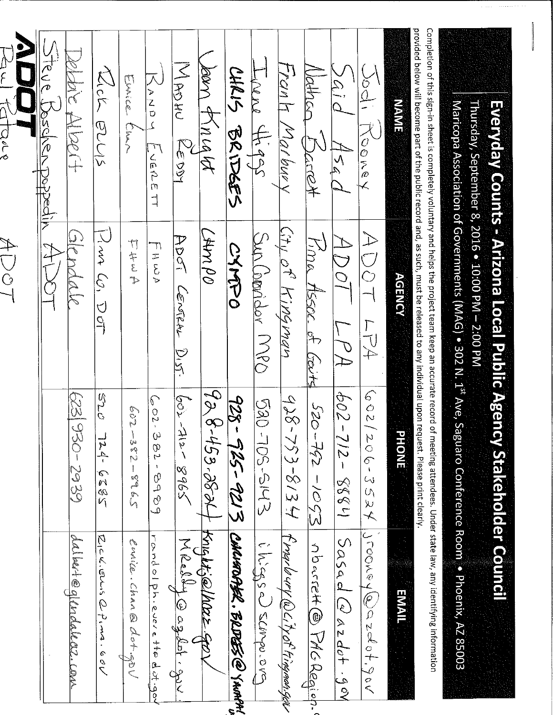| provided below will become part of the public record and, as such, must be released to any individual upon request. Please print clearly.<br>Completion of this sign-in sheet is completely voluntary and helps the project team keep an accurate record of meeting attendees. Under state law, any identifying information |                                                                  |                                          |                                         |
|-----------------------------------------------------------------------------------------------------------------------------------------------------------------------------------------------------------------------------------------------------------------------------------------------------------------------------|------------------------------------------------------------------|------------------------------------------|-----------------------------------------|
| <b>NAME</b>                                                                                                                                                                                                                                                                                                                 | <b>AGENCY</b>                                                    | <b>PHONE</b>                             | <b>EMAIL</b>                            |
| $\frac{5}{1}$<br>しのきのく                                                                                                                                                                                                                                                                                                      | $\begin{matrix} 1 \ 2 \end{matrix}$<br>$\breve{\bigcirc}$<br>アマチ | (60)<br>206-3534                         | iconorer@azder.                         |
| ă,<br>454d                                                                                                                                                                                                                                                                                                                  | エー                                                               | 604<br>$11325 - 212$                     | $5\alpha$ sad $\omega$ azdot gov        |
| Mothal<br>$+257$                                                                                                                                                                                                                                                                                                            | nna<br>MSSOC. of Gouts                                           | $50 - 39 - 59 = 025$                     | nburrett@ PAGReqien.                    |
| Tronh<br>Margrey                                                                                                                                                                                                                                                                                                            | City of Hippman                                                  | $-856$<br>$753 - 8134$                   | f ray la ury @ ci ty of kingman.gev     |
| Linere thats                                                                                                                                                                                                                                                                                                                | Sun (book MPS                                                    | C<br>RO<br>-105-5143                     | ilisase) sconpo.ora                     |
| しまし もくけんぞう                                                                                                                                                                                                                                                                                                                  | CAMAD                                                            | $-826$                                   | 925-9213 CONNAROASER . BRDESS CO YNORNI |
| leen f<br>$\lambda$ ncato                                                                                                                                                                                                                                                                                                   | Od NAA)                                                          | 986.95364                                | Knight;@/horz.go                        |
| NARAN<br>べいこう                                                                                                                                                                                                                                                                                                               | アワー<br>CONGAL<br>Dig<br>R                                        | los.<br>$-\frac{2}{3}$<br>5968           | Weelby oglet gu                         |
| 入ゝこっこ<br>LUERLE TT                                                                                                                                                                                                                                                                                                          | יד<br>H WA                                                       | $602 - 382$<br>$\pmb{\iota}$<br>6868     | rondo phiere the distinguion            |
| Linica Charl                                                                                                                                                                                                                                                                                                                | カキュラ                                                             | $-209$<br>ia<br>N<br><b>Stor</b><br>5928 | Civile. Chan & dot gov                  |
| Kich BUV                                                                                                                                                                                                                                                                                                                    | Jun Co, DoT                                                      | S20<br>$2820 + 721$                      | ひこんごう のさまる                              |
| en de la poet<br>Segona de la poeta de la poeta de la poeta de la poeta de la poeta de la poeta de la poeta de la<br>Segona de la poeta de la poeta de la poeta de la poeta de la poeta de la poeta de la poeta de la poeta de la<br>FREID SC                                                                               |                                                                  | 6262-026 529                             | dalket@glendalects.com                  |
| しんこや<br>$\frac{\partial}{\partial \rho}$<br>popedih                                                                                                                                                                                                                                                                         |                                                                  |                                          |                                         |
|                                                                                                                                                                                                                                                                                                                             | $\mathcal{A}$ D O $\mathcal{T}$                                  |                                          |                                         |
| $\overline{\widetilde{\phantom{1}}}$<br>$\epsilon$ det                                                                                                                                                                                                                                                                      |                                                                  |                                          |                                         |

# Everyday Counts - Arizona Local Public Agency Stakeholder Council

Thursday, September 8, 2016 . 10:00 PM - 2:00 PM

Maricopa Association of Governments (MAG) . 302 N. 1<sup>st</sup> Ave, Saguaro Conference Room . . Phoenix, AZ 85003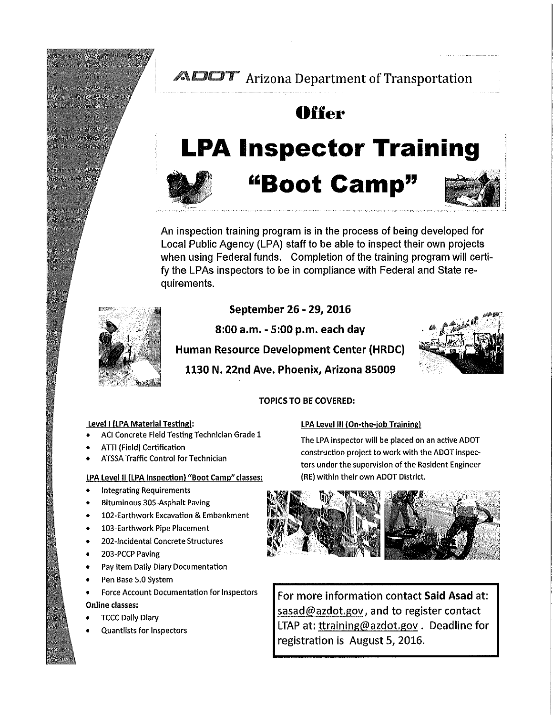# **ADOT** Arizona Department of Transportation

# **Offer**

# **LPA Inspector Training**



# "Boot Camp"



An inspection training program is in the process of being developed for Local Public Agency (LPA) staff to be able to inspect their own projects when using Federal funds. Completion of the training program will certify the LPAs inspectors to be in compliance with Federal and State requirements.



# September 26 - 29, 2016

8:00 a.m. - 5:00 p.m. each day

**Human Resource Development Center (HRDC)** 

1130 N. 22nd Ave. Phoenix, Arizona 85009



# **TOPICS TO BE COVERED:**

# Level I (LPA Material Testing):

- ACI Concrete Field Testing Technician Grade 1
- ATTI (Field) Certification
- **ATSSA Traffic Control for Technician**

# LPA Level II (LPA Inspection) "Boot Camp" classes:

- **Integrating Requirements**  $\bullet$
- **Bituminous 305-Asphalt Paving**
- 102-Earthwork Excavation & Embankment
- 103-Earthwork Pipe Placement  $\bullet$
- 202-Incidental Concrete Structures
- 203-PCCP Paving
- Pay Item Daily Diary Documentation  $\bullet$
- Pen Base 5.0 System
- Force Account Documentation for Inspectors Online classes:
- **TCCC Daily Diary**
- **Quantlists for Inspectors**

# LPA Level III (On-the-job Training)

The LPA inspector will be placed on an active ADOT construction project to work with the ADOT inspectors under the supervision of the Resident Engineer (RE) within their own ADOT District.



For more information contact Said Asad at: sasad@azdot.gov, and to register contact LTAP at: ttraining@azdot.gov. Deadline for registration is August 5, 2016.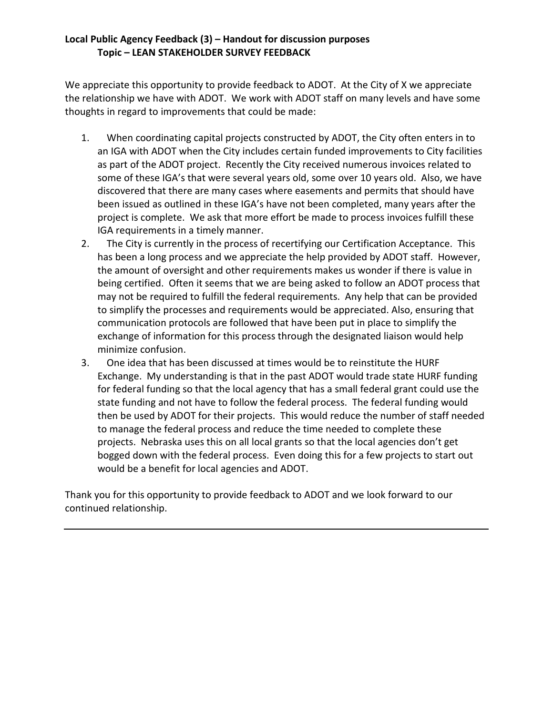# **Local Public Agency Feedback (3) – Handout for discussion purposes Topic – LEAN STAKEHOLDER SURVEY FEEDBACK**

We appreciate this opportunity to provide feedback to ADOT. At the City of X we appreciate the relationship we have with ADOT. We work with ADOT staff on many levels and have some thoughts in regard to improvements that could be made:

- 1. When coordinating capital projects constructed by ADOT, the City often enters in to an IGA with ADOT when the City includes certain funded improvements to City facilities as part of the ADOT project. Recently the City received numerous invoices related to some of these IGA's that were several years old, some over 10 years old. Also, we have discovered that there are many cases where easements and permits that should have been issued as outlined in these IGA's have not been completed, many years after the project is complete. We ask that more effort be made to process invoices fulfill these IGA requirements in a timely manner.
- 2. The City is currently in the process of recertifying our Certification Acceptance. This has been a long process and we appreciate the help provided by ADOT staff. However, the amount of oversight and other requirements makes us wonder if there is value in being certified. Often it seems that we are being asked to follow an ADOT process that may not be required to fulfill the federal requirements. Any help that can be provided to simplify the processes and requirements would be appreciated. Also, ensuring that communication protocols are followed that have been put in place to simplify the exchange of information for this process through the designated liaison would help minimize confusion.
- 3. One idea that has been discussed at times would be to reinstitute the HURF Exchange. My understanding is that in the past ADOT would trade state HURF funding for federal funding so that the local agency that has a small federal grant could use the state funding and not have to follow the federal process. The federal funding would then be used by ADOT for their projects. This would reduce the number of staff needed to manage the federal process and reduce the time needed to complete these projects. Nebraska uses this on all local grants so that the local agencies don't get bogged down with the federal process. Even doing this for a few projects to start out would be a benefit for local agencies and ADOT.

Thank you for this opportunity to provide feedback to ADOT and we look forward to our continued relationship.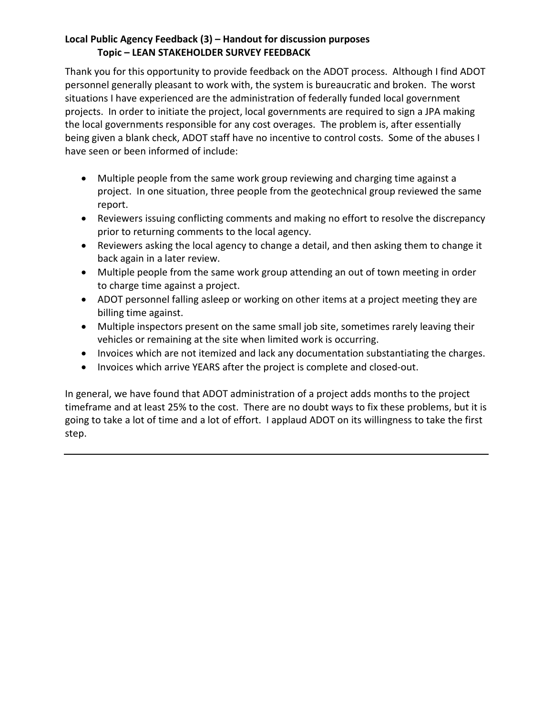# **Local Public Agency Feedback (3) – Handout for discussion purposes Topic – LEAN STAKEHOLDER SURVEY FEEDBACK**

Thank you for this opportunity to provide feedback on the ADOT process. Although I find ADOT personnel generally pleasant to work with, the system is bureaucratic and broken. The worst situations I have experienced are the administration of federally funded local government projects. In order to initiate the project, local governments are required to sign a JPA making the local governments responsible for any cost overages. The problem is, after essentially being given a blank check, ADOT staff have no incentive to control costs. Some of the abuses I have seen or been informed of include:

- Multiple people from the same work group reviewing and charging time against a project. In one situation, three people from the geotechnical group reviewed the same report.
- Reviewers issuing conflicting comments and making no effort to resolve the discrepancy prior to returning comments to the local agency.
- Reviewers asking the local agency to change a detail, and then asking them to change it back again in a later review.
- Multiple people from the same work group attending an out of town meeting in order to charge time against a project.
- ADOT personnel falling asleep or working on other items at a project meeting they are billing time against.
- Multiple inspectors present on the same small job site, sometimes rarely leaving their vehicles or remaining at the site when limited work is occurring.
- Invoices which are not itemized and lack any documentation substantiating the charges.
- Invoices which arrive YEARS after the project is complete and closed-out.

In general, we have found that ADOT administration of a project adds months to the project timeframe and at least 25% to the cost. There are no doubt ways to fix these problems, but it is going to take a lot of time and a lot of effort. I applaud ADOT on its willingness to take the first step.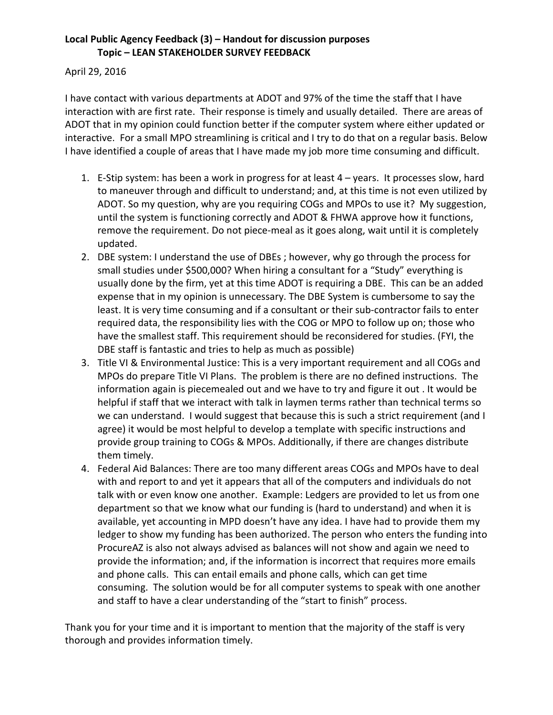# **Local Public Agency Feedback (3) – Handout for discussion purposes Topic – LEAN STAKEHOLDER SURVEY FEEDBACK**

# April 29, 2016

I have contact with various departments at ADOT and 97% of the time the staff that I have interaction with are first rate. Their response is timely and usually detailed. There are areas of ADOT that in my opinion could function better if the computer system where either updated or interactive. For a small MPO streamlining is critical and I try to do that on a regular basis. Below I have identified a couple of areas that I have made my job more time consuming and difficult.

- 1. E-Stip system: has been a work in progress for at least 4 years. It processes slow, hard to maneuver through and difficult to understand; and, at this time is not even utilized by ADOT. So my question, why are you requiring COGs and MPOs to use it? My suggestion, until the system is functioning correctly and ADOT & FHWA approve how it functions, remove the requirement. Do not piece-meal as it goes along, wait until it is completely updated.
- 2. DBE system: I understand the use of DBEs ; however, why go through the process for small studies under \$500,000? When hiring a consultant for a "Study" everything is usually done by the firm, yet at this time ADOT is requiring a DBE. This can be an added expense that in my opinion is unnecessary. The DBE System is cumbersome to say the least. It is very time consuming and if a consultant or their sub-contractor fails to enter required data, the responsibility lies with the COG or MPO to follow up on; those who have the smallest staff. This requirement should be reconsidered for studies. (FYI, the DBE staff is fantastic and tries to help as much as possible)
- 3. Title VI & Environmental Justice: This is a very important requirement and all COGs and MPOs do prepare Title VI Plans. The problem is there are no defined instructions. The information again is piecemealed out and we have to try and figure it out . It would be helpful if staff that we interact with talk in laymen terms rather than technical terms so we can understand. I would suggest that because this is such a strict requirement (and I agree) it would be most helpful to develop a template with specific instructions and provide group training to COGs & MPOs. Additionally, if there are changes distribute them timely.
- 4. Federal Aid Balances: There are too many different areas COGs and MPOs have to deal with and report to and yet it appears that all of the computers and individuals do not talk with or even know one another. Example: Ledgers are provided to let us from one department so that we know what our funding is (hard to understand) and when it is available, yet accounting in MPD doesn't have any idea. I have had to provide them my ledger to show my funding has been authorized. The person who enters the funding into ProcureAZ is also not always advised as balances will not show and again we need to provide the information; and, if the information is incorrect that requires more emails and phone calls. This can entail emails and phone calls, which can get time consuming. The solution would be for all computer systems to speak with one another and staff to have a clear understanding of the "start to finish" process.

Thank you for your time and it is important to mention that the majority of the staff is very thorough and provides information timely.